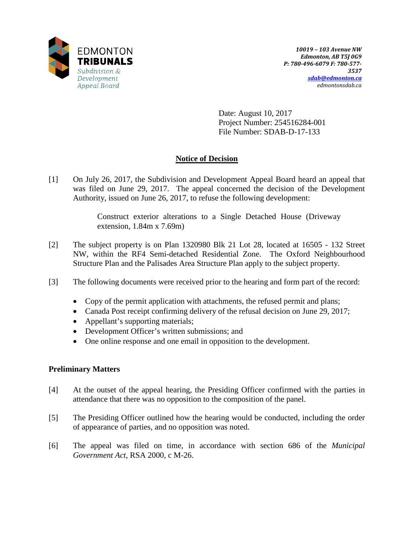

Date: August 10, 2017 Project Number: 254516284-001 File Number: SDAB-D-17-133

# **Notice of Decision**

[1] On July 26, 2017, the Subdivision and Development Appeal Board heard an appeal that was filed on June 29, 2017. The appeal concerned the decision of the Development Authority, issued on June 26, 2017, to refuse the following development:

> Construct exterior alterations to a Single Detached House (Driveway extension, 1.84m x 7.69m)

- [2] The subject property is on Plan 1320980 Blk 21 Lot 28, located at 16505 132 Street NW, within the RF4 Semi-detached Residential Zone. The Oxford Neighbourhood Structure Plan and the Palisades Area Structure Plan apply to the subject property.
- [3] The following documents were received prior to the hearing and form part of the record:
	- Copy of the permit application with attachments, the refused permit and plans;
	- Canada Post receipt confirming delivery of the refusal decision on June 29, 2017;
	- Appellant's supporting materials;
	- Development Officer's written submissions; and
	- One online response and one email in opposition to the development.

## **Preliminary Matters**

- [4] At the outset of the appeal hearing, the Presiding Officer confirmed with the parties in attendance that there was no opposition to the composition of the panel.
- [5] The Presiding Officer outlined how the hearing would be conducted, including the order of appearance of parties, and no opposition was noted.
- [6] The appeal was filed on time, in accordance with section 686 of the *Municipal Government Act*, RSA 2000, c M-26.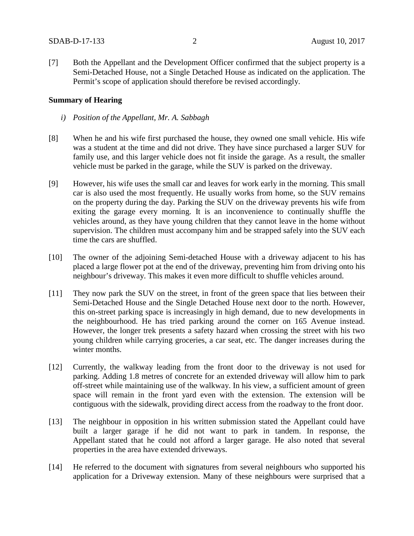[7] Both the Appellant and the Development Officer confirmed that the subject property is a Semi-Detached House, not a Single Detached House as indicated on the application. The Permit's scope of application should therefore be revised accordingly.

#### **Summary of Hearing**

- *i) Position of the Appellant, Mr. A. Sabbagh*
- [8] When he and his wife first purchased the house, they owned one small vehicle. His wife was a student at the time and did not drive. They have since purchased a larger SUV for family use, and this larger vehicle does not fit inside the garage. As a result, the smaller vehicle must be parked in the garage, while the SUV is parked on the driveway.
- [9] However, his wife uses the small car and leaves for work early in the morning. This small car is also used the most frequently. He usually works from home, so the SUV remains on the property during the day. Parking the SUV on the driveway prevents his wife from exiting the garage every morning. It is an inconvenience to continually shuffle the vehicles around, as they have young children that they cannot leave in the home without supervision. The children must accompany him and be strapped safely into the SUV each time the cars are shuffled.
- [10] The owner of the adjoining Semi-detached House with a driveway adjacent to his has placed a large flower pot at the end of the driveway, preventing him from driving onto his neighbour's driveway. This makes it even more difficult to shuffle vehicles around.
- [11] They now park the SUV on the street, in front of the green space that lies between their Semi-Detached House and the Single Detached House next door to the north. However, this on-street parking space is increasingly in high demand, due to new developments in the neighbourhood. He has tried parking around the corner on 165 Avenue instead. However, the longer trek presents a safety hazard when crossing the street with his two young children while carrying groceries, a car seat, etc. The danger increases during the winter months.
- [12] Currently, the walkway leading from the front door to the driveway is not used for parking. Adding 1.8 metres of concrete for an extended driveway will allow him to park off-street while maintaining use of the walkway. In his view, a sufficient amount of green space will remain in the front yard even with the extension. The extension will be contiguous with the sidewalk, providing direct access from the roadway to the front door.
- [13] The neighbour in opposition in his written submission stated the Appellant could have built a larger garage if he did not want to park in tandem. In response, the Appellant stated that he could not afford a larger garage. He also noted that several properties in the area have extended driveways.
- [14] He referred to the document with signatures from several neighbours who supported his application for a Driveway extension. Many of these neighbours were surprised that a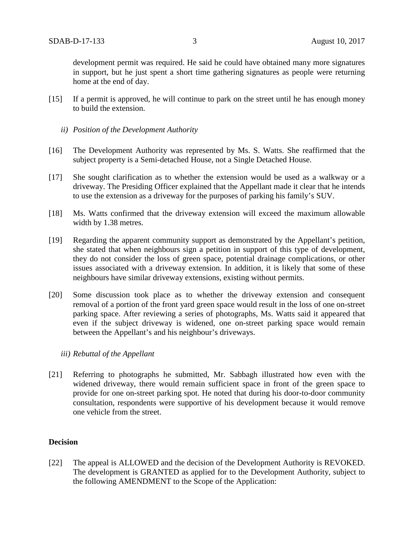development permit was required. He said he could have obtained many more signatures in support, but he just spent a short time gathering signatures as people were returning home at the end of day.

- [15] If a permit is approved, he will continue to park on the street until he has enough money to build the extension.
	- *ii) Position of the Development Authority*
- [16] The Development Authority was represented by Ms. S. Watts. She reaffirmed that the subject property is a Semi-detached House, not a Single Detached House.
- [17] She sought clarification as to whether the extension would be used as a walkway or a driveway. The Presiding Officer explained that the Appellant made it clear that he intends to use the extension as a driveway for the purposes of parking his family's SUV.
- [18] Ms. Watts confirmed that the driveway extension will exceed the maximum allowable width by 1.38 metres.
- [19] Regarding the apparent community support as demonstrated by the Appellant's petition, she stated that when neighbours sign a petition in support of this type of development, they do not consider the loss of green space, potential drainage complications, or other issues associated with a driveway extension. In addition, it is likely that some of these neighbours have similar driveway extensions, existing without permits.
- [20] Some discussion took place as to whether the driveway extension and consequent removal of a portion of the front yard green space would result in the loss of one on-street parking space. After reviewing a series of photographs, Ms. Watts said it appeared that even if the subject driveway is widened, one on-street parking space would remain between the Appellant's and his neighbour's driveways.
	- *iii) Rebuttal of the Appellant*
- [21] Referring to photographs he submitted, Mr. Sabbagh illustrated how even with the widened driveway, there would remain sufficient space in front of the green space to provide for one on-street parking spot. He noted that during his door-to-door community consultation, respondents were supportive of his development because it would remove one vehicle from the street.

#### **Decision**

[22] The appeal is ALLOWED and the decision of the Development Authority is REVOKED. The development is GRANTED as applied for to the Development Authority, subject to the following AMENDMENT to the Scope of the Application: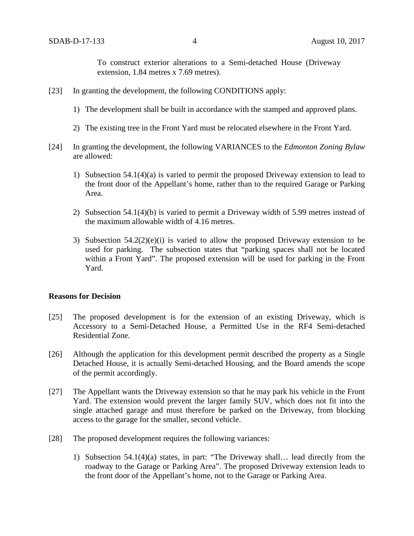To construct exterior alterations to a Semi-detached House (Driveway extension, 1.84 metres x 7.69 metres).

- [23] In granting the development, the following CONDITIONS apply:
	- 1) The development shall be built in accordance with the stamped and approved plans.
	- 2) The existing tree in the Front Yard must be relocated elsewhere in the Front Yard.
- [24] In granting the development, the following VARIANCES to the *Edmonton Zoning Bylaw* are allowed:
	- 1) Subsection 54.1(4)(a) is varied to permit the proposed Driveway extension to lead to the front door of the Appellant's home, rather than to the required Garage or Parking Area.
	- 2) Subsection 54.1(4)(b) is varied to permit a Driveway width of 5.99 metres instead of the maximum allowable width of 4.16 metres.
	- 3) Subsection  $54.2(2)(e)(i)$  is varied to allow the proposed Driveway extension to be used for parking. The subsection states that "parking spaces shall not be located within a Front Yard". The proposed extension will be used for parking in the Front Yard.

#### **Reasons for Decision**

- [25] The proposed development is for the extension of an existing Driveway, which is Accessory to a Semi-Detached House, a Permitted Use in the RF4 Semi-detached Residential Zone.
- [26] Although the application for this development permit described the property as a Single Detached House, it is actually Semi-detached Housing, and the Board amends the scope of the permit accordingly.
- [27] The Appellant wants the Driveway extension so that he may park his vehicle in the Front Yard. The extension would prevent the larger family SUV, which does not fit into the single attached garage and must therefore be parked on the Driveway, from blocking access to the garage for the smaller, second vehicle.
- [28] The proposed development requires the following variances:
	- 1) Subsection 54.1(4)(a) states, in part: "The Driveway shall… lead directly from the roadway to the Garage or Parking Area". The proposed Driveway extension leads to the front door of the Appellant's home, not to the Garage or Parking Area.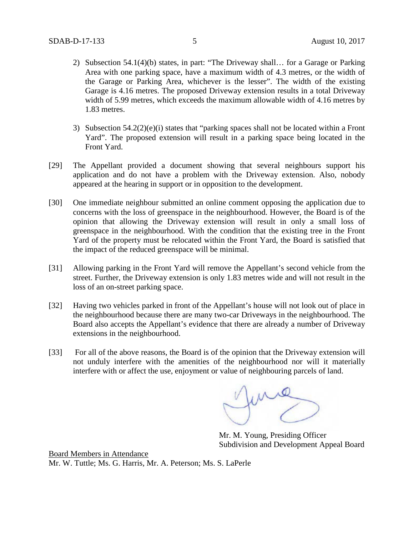- 2) Subsection 54.1(4)(b) states, in part: "The Driveway shall… for a Garage or Parking Area with one parking space, have a maximum width of 4.3 metres, or the width of the Garage or Parking Area, whichever is the lesser". The width of the existing Garage is 4.16 metres. The proposed Driveway extension results in a total Driveway width of 5.99 metres, which exceeds the maximum allowable width of 4.16 metres by 1.83 metres.
- 3) Subsection 54.2(2)(e)(i) states that "parking spaces shall not be located within a Front Yard". The proposed extension will result in a parking space being located in the Front Yard.
- [29] The Appellant provided a document showing that several neighbours support his application and do not have a problem with the Driveway extension. Also, nobody appeared at the hearing in support or in opposition to the development.
- [30] One immediate neighbour submitted an online comment opposing the application due to concerns with the loss of greenspace in the neighbourhood. However, the Board is of the opinion that allowing the Driveway extension will result in only a small loss of greenspace in the neighbourhood. With the condition that the existing tree in the Front Yard of the property must be relocated within the Front Yard, the Board is satisfied that the impact of the reduced greenspace will be minimal.
- [31] Allowing parking in the Front Yard will remove the Appellant's second vehicle from the street. Further, the Driveway extension is only 1.83 metres wide and will not result in the loss of an on-street parking space.
- [32] Having two vehicles parked in front of the Appellant's house will not look out of place in the neighbourhood because there are many two-car Driveways in the neighbourhood. The Board also accepts the Appellant's evidence that there are already a number of Driveway extensions in the neighbourhood.
- [33] For all of the above reasons, the Board is of the opinion that the Driveway extension will not unduly interfere with the amenities of the neighbourhood nor will it materially interfere with or affect the use, enjoyment or value of neighbouring parcels of land.

fung

Mr. M. Young, Presiding Officer Subdivision and Development Appeal Board

Board Members in Attendance Mr. W. Tuttle; Ms. G. Harris, Mr. A. Peterson; Ms. S. LaPerle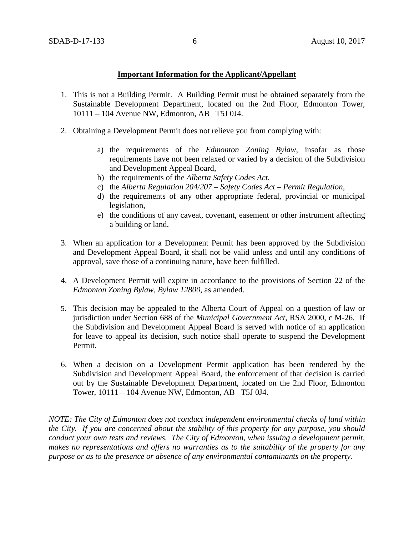## **Important Information for the Applicant/Appellant**

- 1. This is not a Building Permit. A Building Permit must be obtained separately from the Sustainable Development Department, located on the 2nd Floor, Edmonton Tower, 10111 – 104 Avenue NW, Edmonton, AB T5J 0J4.
- 2. Obtaining a Development Permit does not relieve you from complying with:
	- a) the requirements of the *Edmonton Zoning Bylaw*, insofar as those requirements have not been relaxed or varied by a decision of the Subdivision and Development Appeal Board,
	- b) the requirements of the *Alberta Safety Codes Act*,
	- c) the *Alberta Regulation 204/207 – Safety Codes Act – Permit Regulation*,
	- d) the requirements of any other appropriate federal, provincial or municipal legislation,
	- e) the conditions of any caveat, covenant, easement or other instrument affecting a building or land.
- 3. When an application for a Development Permit has been approved by the Subdivision and Development Appeal Board, it shall not be valid unless and until any conditions of approval, save those of a continuing nature, have been fulfilled.
- 4. A Development Permit will expire in accordance to the provisions of Section 22 of the *Edmonton Zoning Bylaw, Bylaw 12800*, as amended.
- 5. This decision may be appealed to the Alberta Court of Appeal on a question of law or jurisdiction under Section 688 of the *Municipal Government Act*, RSA 2000, c M-26. If the Subdivision and Development Appeal Board is served with notice of an application for leave to appeal its decision, such notice shall operate to suspend the Development Permit.
- 6. When a decision on a Development Permit application has been rendered by the Subdivision and Development Appeal Board, the enforcement of that decision is carried out by the Sustainable Development Department, located on the 2nd Floor, Edmonton Tower, 10111 – 104 Avenue NW, Edmonton, AB T5J 0J4.

*NOTE: The City of Edmonton does not conduct independent environmental checks of land within the City. If you are concerned about the stability of this property for any purpose, you should conduct your own tests and reviews. The City of Edmonton, when issuing a development permit, makes no representations and offers no warranties as to the suitability of the property for any purpose or as to the presence or absence of any environmental contaminants on the property.*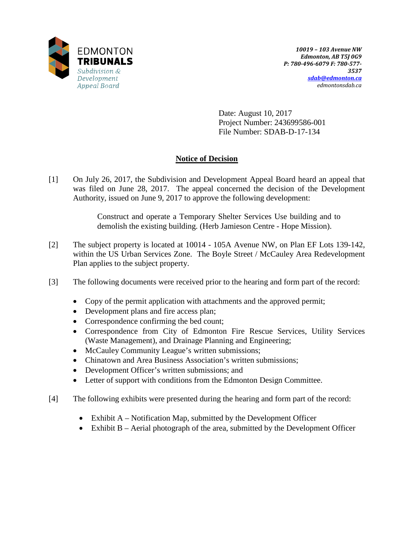

Date: August 10, 2017 Project Number: 243699586-001 File Number: SDAB-D-17-134

# **Notice of Decision**

[1] On July 26, 2017, the Subdivision and Development Appeal Board heard an appeal that was filed on June 28, 2017. The appeal concerned the decision of the Development Authority, issued on June 9, 2017 to approve the following development:

> Construct and operate a Temporary Shelter Services Use building and to demolish the existing building. (Herb Jamieson Centre - Hope Mission).

- [2] The subject property is located at 10014 105A Avenue NW, on Plan EF Lots 139-142, within the US Urban Services Zone. The Boyle Street / McCauley Area Redevelopment Plan applies to the subject property.
- [3] The following documents were received prior to the hearing and form part of the record:
	- Copy of the permit application with attachments and the approved permit;
	- Development plans and fire access plan;
	- Correspondence confirming the bed count;
	- Correspondence from City of Edmonton Fire Rescue Services, Utility Services (Waste Management), and Drainage Planning and Engineering;
	- McCauley Community League's written submissions;
	- Chinatown and Area Business Association's written submissions;
	- Development Officer's written submissions; and
	- Letter of support with conditions from the Edmonton Design Committee.
- [4] The following exhibits were presented during the hearing and form part of the record:
	- Exhibit A Notification Map, submitted by the Development Officer
	- Exhibit B Aerial photograph of the area, submitted by the Development Officer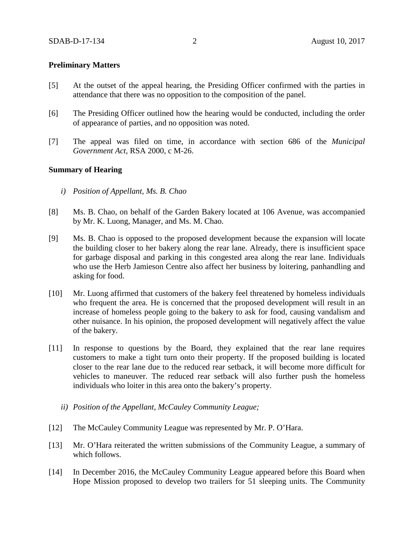#### **Preliminary Matters**

- [5] At the outset of the appeal hearing, the Presiding Officer confirmed with the parties in attendance that there was no opposition to the composition of the panel.
- [6] The Presiding Officer outlined how the hearing would be conducted, including the order of appearance of parties, and no opposition was noted.
- [7] The appeal was filed on time, in accordance with section 686 of the *Municipal Government Act*, RSA 2000, c M-26.

#### **Summary of Hearing**

- *i) Position of Appellant, Ms. B. Chao*
- [8] Ms. B. Chao, on behalf of the Garden Bakery located at 106 Avenue, was accompanied by Mr. K. Luong, Manager, and Ms. M. Chao.
- [9] Ms. B. Chao is opposed to the proposed development because the expansion will locate the building closer to her bakery along the rear lane. Already, there is insufficient space for garbage disposal and parking in this congested area along the rear lane. Individuals who use the Herb Jamieson Centre also affect her business by loitering, panhandling and asking for food.
- [10] Mr. Luong affirmed that customers of the bakery feel threatened by homeless individuals who frequent the area. He is concerned that the proposed development will result in an increase of homeless people going to the bakery to ask for food, causing vandalism and other nuisance. In his opinion, the proposed development will negatively affect the value of the bakery.
- [11] In response to questions by the Board, they explained that the rear lane requires customers to make a tight turn onto their property. If the proposed building is located closer to the rear lane due to the reduced rear setback, it will become more difficult for vehicles to maneuver. The reduced rear setback will also further push the homeless individuals who loiter in this area onto the bakery's property.
	- *ii) Position of the Appellant, McCauley Community League;*
- [12] The McCauley Community League was represented by Mr. P. O'Hara.
- [13] Mr. O'Hara reiterated the written submissions of the Community League, a summary of which follows.
- [14] In December 2016, the McCauley Community League appeared before this Board when Hope Mission proposed to develop two trailers for 51 sleeping units. The Community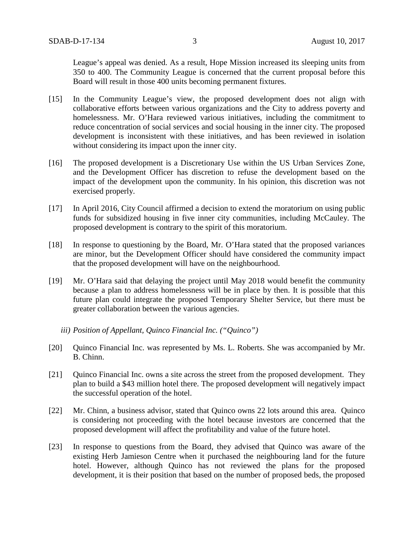League's appeal was denied. As a result, Hope Mission increased its sleeping units from 350 to 400. The Community League is concerned that the current proposal before this Board will result in those 400 units becoming permanent fixtures.

- [15] In the Community League's view, the proposed development does not align with collaborative efforts between various organizations and the City to address poverty and homelessness. Mr. O'Hara reviewed various initiatives, including the commitment to reduce concentration of social services and social housing in the inner city. The proposed development is inconsistent with these initiatives, and has been reviewed in isolation without considering its impact upon the inner city.
- [16] The proposed development is a Discretionary Use within the US Urban Services Zone, and the Development Officer has discretion to refuse the development based on the impact of the development upon the community. In his opinion, this discretion was not exercised properly.
- [17] In April 2016, City Council affirmed a decision to extend the moratorium on using public funds for subsidized housing in five inner city communities, including McCauley. The proposed development is contrary to the spirit of this moratorium.
- [18] In response to questioning by the Board, Mr. O'Hara stated that the proposed variances are minor, but the Development Officer should have considered the community impact that the proposed development will have on the neighbourhood.
- [19] Mr. O'Hara said that delaying the project until May 2018 would benefit the community because a plan to address homelessness will be in place by then. It is possible that this future plan could integrate the proposed Temporary Shelter Service, but there must be greater collaboration between the various agencies.
	- *iii) Position of Appellant, Quinco Financial Inc. ("Quinco")*
- [20] Ouinco Financial Inc. was represented by Ms. L. Roberts. She was accompanied by Mr. B. Chinn.
- [21] Quinco Financial Inc. owns a site across the street from the proposed development. They plan to build a \$43 million hotel there. The proposed development will negatively impact the successful operation of the hotel.
- [22] Mr. Chinn, a business advisor, stated that Quinco owns 22 lots around this area. Quinco is considering not proceeding with the hotel because investors are concerned that the proposed development will affect the profitability and value of the future hotel.
- [23] In response to questions from the Board, they advised that Quinco was aware of the existing Herb Jamieson Centre when it purchased the neighbouring land for the future hotel. However, although Quinco has not reviewed the plans for the proposed development, it is their position that based on the number of proposed beds, the proposed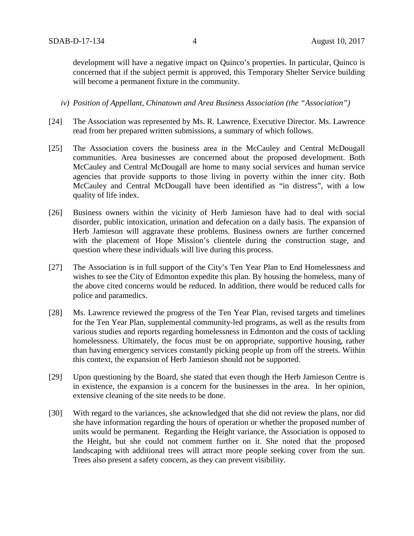development will have a negative impact on Quinco's properties. In particular, Quinco is concerned that if the subject permit is approved, this Temporary Shelter Service building will become a permanent fixture in the community.

- *iv) Position of Appellant, Chinatown and Area Business Association (the "Association")*
- [24] The Association was represented by Ms. R. Lawrence, Executive Director. Ms. Lawrence read from her prepared written submissions, a summary of which follows.
- [25] The Association covers the business area in the McCauley and Central McDougall communities. Area businesses are concerned about the proposed development. Both McCauley and Central McDougall are home to many social services and human service agencies that provide supports to those living in poverty within the inner city. Both McCauley and Central McDougall have been identified as "in distress", with a low quality of life index.
- [26] Business owners within the vicinity of Herb Jamieson have had to deal with social disorder, public intoxication, urination and defecation on a daily basis. The expansion of Herb Jamieson will aggravate these problems. Business owners are further concerned with the placement of Hope Mission's clientele during the construction stage, and question where these individuals will live during this process.
- [27] The Association is in full support of the City's Ten Year Plan to End Homelessness and wishes to see the City of Edmonton expedite this plan. By housing the homeless, many of the above cited concerns would be reduced. In addition, there would be reduced calls for police and paramedics.
- [28] Ms. Lawrence reviewed the progress of the Ten Year Plan, revised targets and timelines for the Ten Year Plan, supplemental community-led programs, as well as the results from various studies and reports regarding homelessness in Edmonton and the costs of tackling homelessness. Ultimately, the focus must be on appropriate, supportive housing, rather than having emergency services constantly picking people up from off the streets. Within this context, the expansion of Herb Jamieson should not be supported.
- [29] Upon questioning by the Board, she stated that even though the Herb Jamieson Centre is in existence, the expansion is a concern for the businesses in the area. In her opinion, extensive cleaning of the site needs to be done.
- [30] With regard to the variances, she acknowledged that she did not review the plans, nor did she have information regarding the hours of operation or whether the proposed number of units would be permanent. Regarding the Height variance, the Association is opposed to the Height, but she could not comment further on it. She noted that the proposed landscaping with additional trees will attract more people seeking cover from the sun. Trees also present a safety concern, as they can prevent visibility.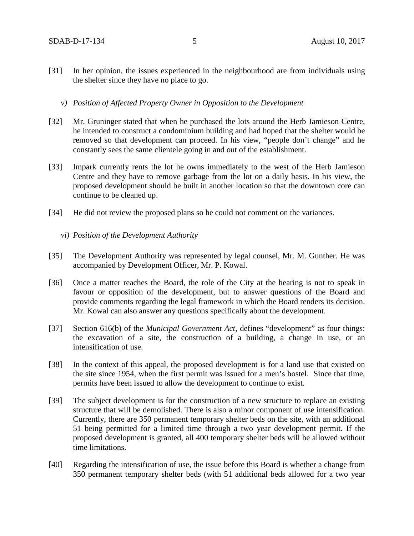- [31] In her opinion, the issues experienced in the neighbourhood are from individuals using the shelter since they have no place to go.
	- *v) Position of Affected Property Owner in Opposition to the Development*
- [32] Mr. Gruninger stated that when he purchased the lots around the Herb Jamieson Centre, he intended to construct a condominium building and had hoped that the shelter would be removed so that development can proceed. In his view, "people don't change" and he constantly sees the same clientele going in and out of the establishment.
- [33] Impark currently rents the lot he owns immediately to the west of the Herb Jamieson Centre and they have to remove garbage from the lot on a daily basis. In his view, the proposed development should be built in another location so that the downtown core can continue to be cleaned up.
- [34] He did not review the proposed plans so he could not comment on the variances.
	- *vi) Position of the Development Authority*
- [35] The Development Authority was represented by legal counsel, Mr. M. Gunther. He was accompanied by Development Officer, Mr. P. Kowal.
- [36] Once a matter reaches the Board, the role of the City at the hearing is not to speak in favour or opposition of the development, but to answer questions of the Board and provide comments regarding the legal framework in which the Board renders its decision. Mr. Kowal can also answer any questions specifically about the development.
- [37] Section 616(b) of the *Municipal Government Act,* defines "development" as four things: the excavation of a site, the construction of a building, a change in use, or an intensification of use.
- [38] In the context of this appeal, the proposed development is for a land use that existed on the site since 1954, when the first permit was issued for a men's hostel. Since that time, permits have been issued to allow the development to continue to exist.
- [39] The subject development is for the construction of a new structure to replace an existing structure that will be demolished. There is also a minor component of use intensification. Currently, there are 350 permanent temporary shelter beds on the site, with an additional 51 being permitted for a limited time through a two year development permit. If the proposed development is granted, all 400 temporary shelter beds will be allowed without time limitations.
- [40] Regarding the intensification of use, the issue before this Board is whether a change from 350 permanent temporary shelter beds (with 51 additional beds allowed for a two year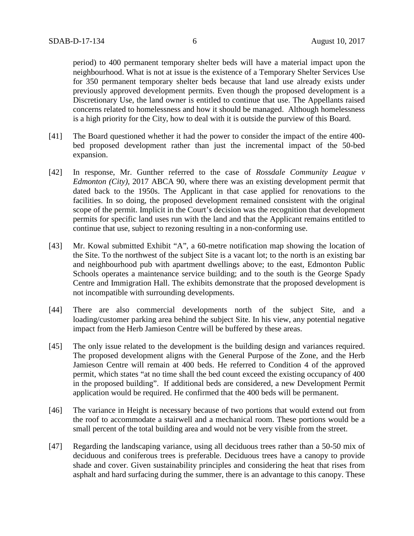period) to 400 permanent temporary shelter beds will have a material impact upon the neighbourhood. What is not at issue is the existence of a Temporary Shelter Services Use for 350 permanent temporary shelter beds because that land use already exists under previously approved development permits. Even though the proposed development is a Discretionary Use, the land owner is entitled to continue that use. The Appellants raised concerns related to homelessness and how it should be managed. Although homelessness is a high priority for the City, how to deal with it is outside the purview of this Board.

- [41] The Board questioned whether it had the power to consider the impact of the entire 400 bed proposed development rather than just the incremental impact of the 50-bed expansion.
- [42] In response, Mr. Gunther referred to the case of *Rossdale Community League v Edmonton (City),* 2017 ABCA 90, where there was an existing development permit that dated back to the 1950s. The Applicant in that case applied for renovations to the facilities. In so doing, the proposed development remained consistent with the original scope of the permit. Implicit in the Court's decision was the recognition that development permits for specific land uses run with the land and that the Applicant remains entitled to continue that use, subject to rezoning resulting in a non-conforming use.
- [43] Mr. Kowal submitted Exhibit "A", a 60-metre notification map showing the location of the Site. To the northwest of the subject Site is a vacant lot; to the north is an existing bar and neighbourhood pub with apartment dwellings above; to the east, Edmonton Public Schools operates a maintenance service building; and to the south is the George Spady Centre and Immigration Hall. The exhibits demonstrate that the proposed development is not incompatible with surrounding developments.
- [44] There are also commercial developments north of the subject Site, and a loading/customer parking area behind the subject Site. In his view, any potential negative impact from the Herb Jamieson Centre will be buffered by these areas.
- [45] The only issue related to the development is the building design and variances required. The proposed development aligns with the General Purpose of the Zone, and the Herb Jamieson Centre will remain at 400 beds. He referred to Condition 4 of the approved permit, which states "at no time shall the bed count exceed the existing occupancy of 400 in the proposed building". If additional beds are considered, a new Development Permit application would be required. He confirmed that the 400 beds will be permanent.
- [46] The variance in Height is necessary because of two portions that would extend out from the roof to accommodate a stairwell and a mechanical room. These portions would be a small percent of the total building area and would not be very visible from the street.
- [47] Regarding the landscaping variance, using all deciduous trees rather than a 50-50 mix of deciduous and coniferous trees is preferable. Deciduous trees have a canopy to provide shade and cover. Given sustainability principles and considering the heat that rises from asphalt and hard surfacing during the summer, there is an advantage to this canopy. These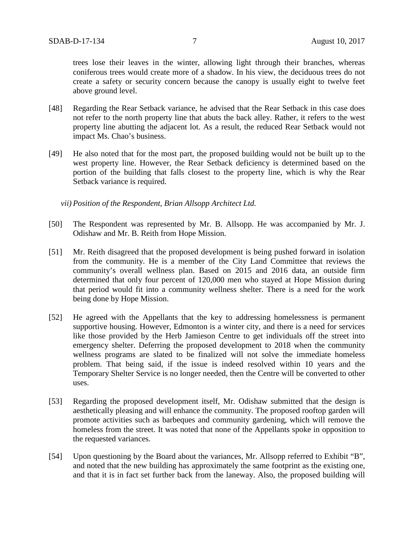trees lose their leaves in the winter, allowing light through their branches, whereas coniferous trees would create more of a shadow. In his view, the deciduous trees do not create a safety or security concern because the canopy is usually eight to twelve feet above ground level.

- [48] Regarding the Rear Setback variance, he advised that the Rear Setback in this case does not refer to the north property line that abuts the back alley. Rather, it refers to the west property line abutting the adjacent lot. As a result, the reduced Rear Setback would not impact Ms. Chao's business.
- [49] He also noted that for the most part, the proposed building would not be built up to the west property line. However, the Rear Setback deficiency is determined based on the portion of the building that falls closest to the property line, which is why the Rear Setback variance is required.

*vii) Position of the Respondent, Brian Allsopp Architect Ltd.* 

- [50] The Respondent was represented by Mr. B. Allsopp. He was accompanied by Mr. J. Odishaw and Mr. B. Reith from Hope Mission.
- [51] Mr. Reith disagreed that the proposed development is being pushed forward in isolation from the community. He is a member of the City Land Committee that reviews the community's overall wellness plan. Based on 2015 and 2016 data, an outside firm determined that only four percent of 120,000 men who stayed at Hope Mission during that period would fit into a community wellness shelter. There is a need for the work being done by Hope Mission.
- [52] He agreed with the Appellants that the key to addressing homelessness is permanent supportive housing. However, Edmonton is a winter city, and there is a need for services like those provided by the Herb Jamieson Centre to get individuals off the street into emergency shelter. Deferring the proposed development to 2018 when the community wellness programs are slated to be finalized will not solve the immediate homeless problem. That being said, if the issue is indeed resolved within 10 years and the Temporary Shelter Service is no longer needed, then the Centre will be converted to other uses.
- [53] Regarding the proposed development itself, Mr. Odishaw submitted that the design is aesthetically pleasing and will enhance the community. The proposed rooftop garden will promote activities such as barbeques and community gardening, which will remove the homeless from the street. It was noted that none of the Appellants spoke in opposition to the requested variances.
- [54] Upon questioning by the Board about the variances, Mr. Allsopp referred to Exhibit "B", and noted that the new building has approximately the same footprint as the existing one, and that it is in fact set further back from the laneway. Also, the proposed building will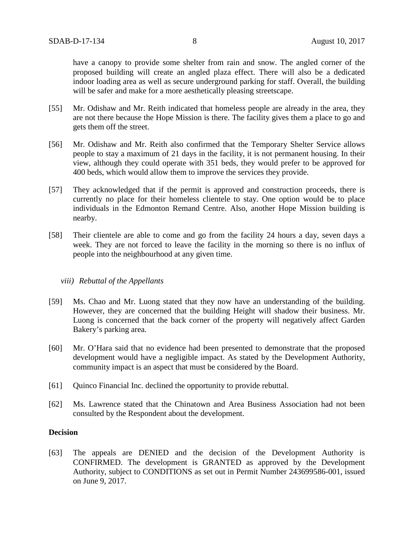have a canopy to provide some shelter from rain and snow. The angled corner of the proposed building will create an angled plaza effect. There will also be a dedicated indoor loading area as well as secure underground parking for staff. Overall, the building will be safer and make for a more aesthetically pleasing streetscape.

- [55] Mr. Odishaw and Mr. Reith indicated that homeless people are already in the area, they are not there because the Hope Mission is there. The facility gives them a place to go and gets them off the street.
- [56] Mr. Odishaw and Mr. Reith also confirmed that the Temporary Shelter Service allows people to stay a maximum of 21 days in the facility, it is not permanent housing. In their view, although they could operate with 351 beds, they would prefer to be approved for 400 beds, which would allow them to improve the services they provide.
- [57] They acknowledged that if the permit is approved and construction proceeds, there is currently no place for their homeless clientele to stay. One option would be to place individuals in the Edmonton Remand Centre. Also, another Hope Mission building is nearby.
- [58] Their clientele are able to come and go from the facility 24 hours a day, seven days a week. They are not forced to leave the facility in the morning so there is no influx of people into the neighbourhood at any given time.

#### *viii) Rebuttal of the Appellants*

- [59] Ms. Chao and Mr. Luong stated that they now have an understanding of the building. However, they are concerned that the building Height will shadow their business. Mr. Luong is concerned that the back corner of the property will negatively affect Garden Bakery's parking area.
- [60] Mr. O'Hara said that no evidence had been presented to demonstrate that the proposed development would have a negligible impact. As stated by the Development Authority, community impact is an aspect that must be considered by the Board.
- [61] Quinco Financial Inc. declined the opportunity to provide rebuttal.
- [62] Ms. Lawrence stated that the Chinatown and Area Business Association had not been consulted by the Respondent about the development.

### **Decision**

[63] The appeals are DENIED and the decision of the Development Authority is CONFIRMED. The development is GRANTED as approved by the Development Authority, subject to CONDITIONS as set out in Permit Number 243699586-001, issued on June 9, 2017.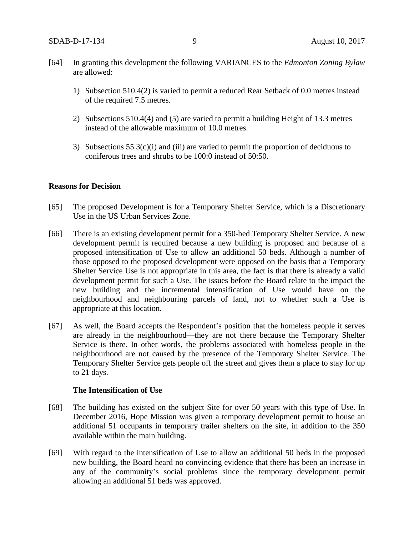- [64] In granting this development the following VARIANCES to the *Edmonton Zoning Bylaw* are allowed:
	- 1) Subsection 510.4(2) is varied to permit a reduced Rear Setback of 0.0 metres instead of the required 7.5 metres.
	- 2) Subsections 510.4(4) and (5) are varied to permit a building Height of 13.3 metres instead of the allowable maximum of 10.0 metres.
	- 3) Subsections  $55.3(c)(i)$  and (iii) are varied to permit the proportion of deciduous to coniferous trees and shrubs to be 100:0 instead of 50:50.

## **Reasons for Decision**

- [65] The proposed Development is for a Temporary Shelter Service, which is a Discretionary Use in the US Urban Services Zone.
- [66] There is an existing development permit for a 350-bed Temporary Shelter Service. A new development permit is required because a new building is proposed and because of a proposed intensification of Use to allow an additional 50 beds. Although a number of those opposed to the proposed development were opposed on the basis that a Temporary Shelter Service Use is not appropriate in this area, the fact is that there is already a valid development permit for such a Use. The issues before the Board relate to the impact the new building and the incremental intensification of Use would have on the neighbourhood and neighbouring parcels of land, not to whether such a Use is appropriate at this location.
- [67] As well, the Board accepts the Respondent's position that the homeless people it serves are already in the neighbourhood—they are not there because the Temporary Shelter Service is there. In other words, the problems associated with homeless people in the neighbourhood are not caused by the presence of the Temporary Shelter Service. The Temporary Shelter Service gets people off the street and gives them a place to stay for up to 21 days.

#### **The Intensification of Use**

- [68] The building has existed on the subject Site for over 50 years with this type of Use. In December 2016, Hope Mission was given a temporary development permit to house an additional 51 occupants in temporary trailer shelters on the site, in addition to the 350 available within the main building.
- [69] With regard to the intensification of Use to allow an additional 50 beds in the proposed new building, the Board heard no convincing evidence that there has been an increase in any of the community's social problems since the temporary development permit allowing an additional 51 beds was approved.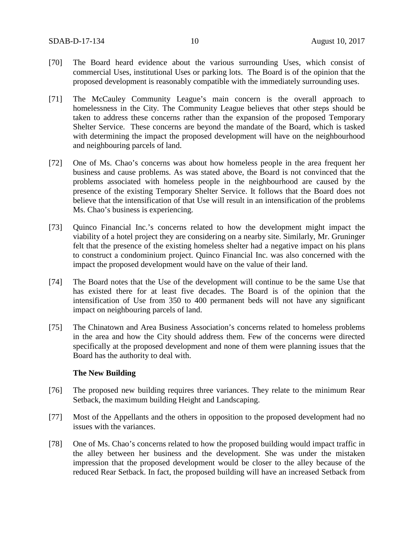- [70] The Board heard evidence about the various surrounding Uses, which consist of commercial Uses, institutional Uses or parking lots. The Board is of the opinion that the proposed development is reasonably compatible with the immediately surrounding uses.
- [71] The McCauley Community League's main concern is the overall approach to homelessness in the City. The Community League believes that other steps should be taken to address these concerns rather than the expansion of the proposed Temporary Shelter Service. These concerns are beyond the mandate of the Board, which is tasked with determining the impact the proposed development will have on the neighbourhood and neighbouring parcels of land.
- [72] One of Ms. Chao's concerns was about how homeless people in the area frequent her business and cause problems. As was stated above, the Board is not convinced that the problems associated with homeless people in the neighbourhood are caused by the presence of the existing Temporary Shelter Service. It follows that the Board does not believe that the intensification of that Use will result in an intensification of the problems Ms. Chao's business is experiencing.
- [73] Quinco Financial Inc.'s concerns related to how the development might impact the viability of a hotel project they are considering on a nearby site. Similarly, Mr. Gruninger felt that the presence of the existing homeless shelter had a negative impact on his plans to construct a condominium project. Quinco Financial Inc. was also concerned with the impact the proposed development would have on the value of their land.
- [74] The Board notes that the Use of the development will continue to be the same Use that has existed there for at least five decades. The Board is of the opinion that the intensification of Use from 350 to 400 permanent beds will not have any significant impact on neighbouring parcels of land.
- [75] The Chinatown and Area Business Association's concerns related to homeless problems in the area and how the City should address them. Few of the concerns were directed specifically at the proposed development and none of them were planning issues that the Board has the authority to deal with.

#### **The New Building**

- [76] The proposed new building requires three variances. They relate to the minimum Rear Setback, the maximum building Height and Landscaping.
- [77] Most of the Appellants and the others in opposition to the proposed development had no issues with the variances.
- [78] One of Ms. Chao's concerns related to how the proposed building would impact traffic in the alley between her business and the development. She was under the mistaken impression that the proposed development would be closer to the alley because of the reduced Rear Setback. In fact, the proposed building will have an increased Setback from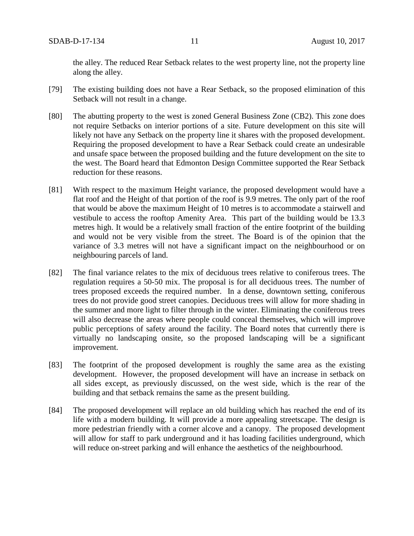the alley. The reduced Rear Setback relates to the west property line, not the property line along the alley.

- [79] The existing building does not have a Rear Setback, so the proposed elimination of this Setback will not result in a change.
- [80] The abutting property to the west is zoned General Business Zone (CB2). This zone does not require Setbacks on interior portions of a site. Future development on this site will likely not have any Setback on the property line it shares with the proposed development. Requiring the proposed development to have a Rear Setback could create an undesirable and unsafe space between the proposed building and the future development on the site to the west. The Board heard that Edmonton Design Committee supported the Rear Setback reduction for these reasons.
- [81] With respect to the maximum Height variance, the proposed development would have a flat roof and the Height of that portion of the roof is 9.9 metres. The only part of the roof that would be above the maximum Height of 10 metres is to accommodate a stairwell and vestibule to access the rooftop Amenity Area. This part of the building would be 13.3 metres high. It would be a relatively small fraction of the entire footprint of the building and would not be very visible from the street. The Board is of the opinion that the variance of 3.3 metres will not have a significant impact on the neighbourhood or on neighbouring parcels of land.
- [82] The final variance relates to the mix of deciduous trees relative to coniferous trees. The regulation requires a 50-50 mix. The proposal is for all deciduous trees. The number of trees proposed exceeds the required number. In a dense, downtown setting, coniferous trees do not provide good street canopies. Deciduous trees will allow for more shading in the summer and more light to filter through in the winter. Eliminating the coniferous trees will also decrease the areas where people could conceal themselves, which will improve public perceptions of safety around the facility. The Board notes that currently there is virtually no landscaping onsite, so the proposed landscaping will be a significant improvement.
- [83] The footprint of the proposed development is roughly the same area as the existing development. However, the proposed development will have an increase in setback on all sides except, as previously discussed, on the west side, which is the rear of the building and that setback remains the same as the present building.
- [84] The proposed development will replace an old building which has reached the end of its life with a modern building. It will provide a more appealing streetscape. The design is more pedestrian friendly with a corner alcove and a canopy. The proposed development will allow for staff to park underground and it has loading facilities underground, which will reduce on-street parking and will enhance the aesthetics of the neighbourhood.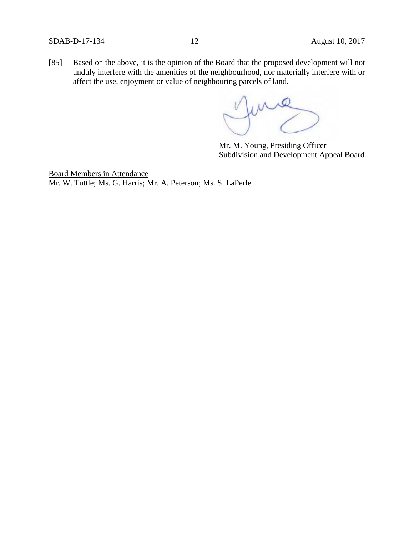[85] Based on the above, it is the opinion of the Board that the proposed development will not unduly interfere with the amenities of the neighbourhood, nor materially interfere with or affect the use, enjoyment or value of neighbouring parcels of land.

me

Mr. M. Young, Presiding Officer Subdivision and Development Appeal Board

Board Members in Attendance Mr. W. Tuttle; Ms. G. Harris; Mr. A. Peterson; Ms. S. LaPerle